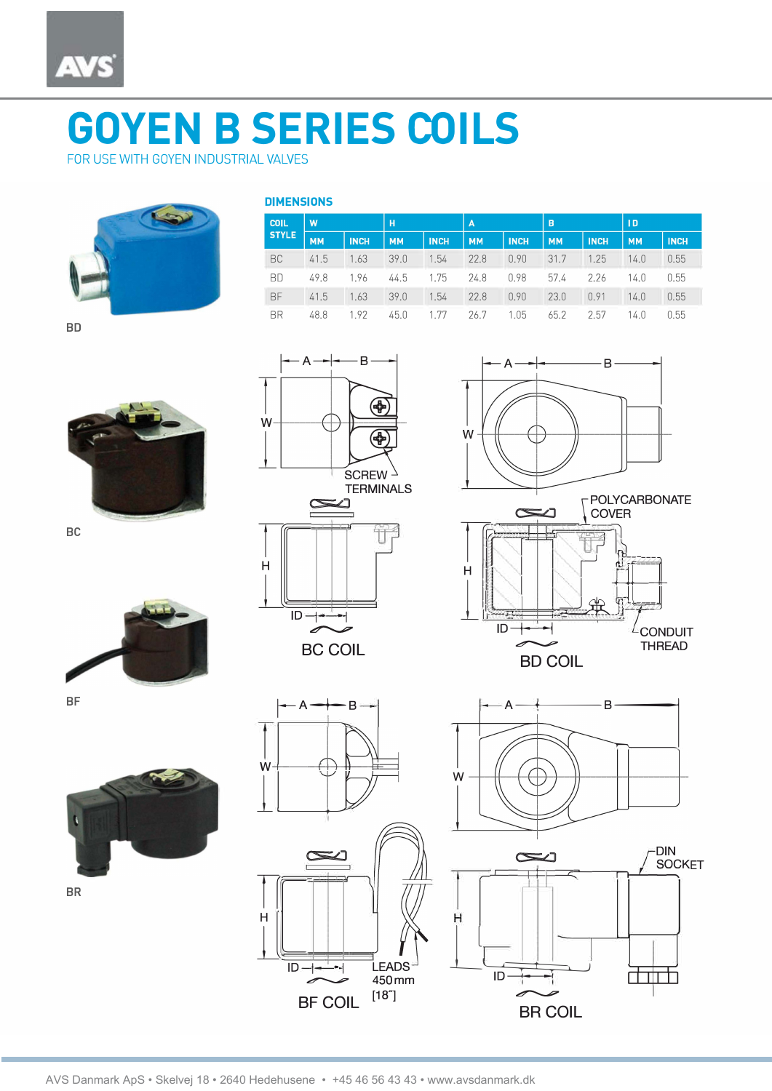

## **GOYEN B SERIES COILS**

FOR USE WITH GOYEN INDUSTRIAL VALVES



| <b>DIMENSIONS</b> |  |  |
|-------------------|--|--|
|                   |  |  |

A

 $\infty$ لك

 $\overline{ID}$   $\rightarrow$ 

**BC COIL** 

W

 $H$ 

B

⊕

⊕

| <b>COIL</b><br><b>STYLE</b> | W         |             | H         |             | $\overline{A}$ |             | B         |             | <b>ID</b> |             |
|-----------------------------|-----------|-------------|-----------|-------------|----------------|-------------|-----------|-------------|-----------|-------------|
|                             | <b>MM</b> | <b>INCH</b> | <b>MM</b> | <b>INCH</b> | <b>MM</b>      | <b>INCH</b> | <b>MM</b> | <b>INCH</b> | <b>MM</b> | <b>INCH</b> |
| BC                          | 41.5      | 1.63        | 39.0      | 1.54        | 22.8           | 0.90        | 31.7      | 1.25        | 14.0      | 0.55        |
| <b>BD</b>                   | 49.8      | 1.96        | 44.5 1.75 |             | 24.8           | 0.98        | 57.4      | 2.26        | 14.0      | 0.55        |
| <b>BF</b>                   | 41.5      | 1.63        | 39.0      | 1.54        | 22.8           | 0.90        | 23.0      | 0.91        | 14.0      | 0.55        |
| <b>BR</b>                   | 48.8      | 1.92        | 45.0      | 1.77        | 26.7           | 1.05        | 65.2      | 2.57        | 14.0      | 0.55        |

**BD** 











**BR**